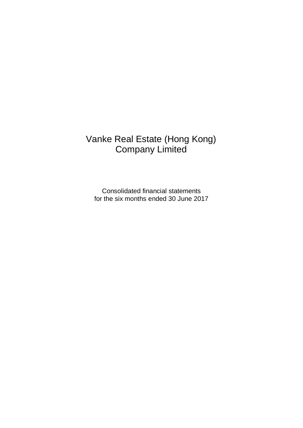# Vanke Real Estate (Hong Kong) Company Limited

Consolidated financial statements for the six months ended 30 June 2017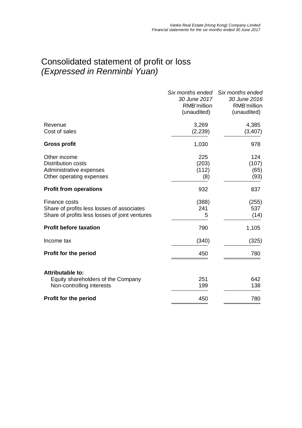#### Consolidated statement of profit or loss *(Expressed in Renminbi Yuan)*

|                                                                                                               | 30 June 2017<br>RMB'million<br>(unaudited) | Six months ended Six months ended<br>30 June 2016<br>RMB'million<br>(unaudited) |
|---------------------------------------------------------------------------------------------------------------|--------------------------------------------|---------------------------------------------------------------------------------|
| Revenue<br>Cost of sales                                                                                      | 3,269<br>(2, 239)                          | 4,385<br>(3, 407)                                                               |
| <b>Gross profit</b>                                                                                           | 1,030                                      | 978                                                                             |
| Other income<br><b>Distribution costs</b><br>Administrative expenses<br>Other operating expenses              | 225<br>(203)<br>(112)<br>(8)               | 124<br>(107)<br>(65)<br>(93)                                                    |
| <b>Profit from operations</b>                                                                                 | 932                                        | 837                                                                             |
| Finance costs<br>Share of profits less losses of associates<br>Share of profits less losses of joint ventures | (388)<br>241<br>5                          | (255)<br>537<br>(14)                                                            |
| <b>Profit before taxation</b>                                                                                 | 790                                        | 1,105                                                                           |
| Income tax                                                                                                    | (340)                                      | (325)                                                                           |
| <b>Profit for the period</b>                                                                                  | 450                                        | 780                                                                             |
| <b>Attributable to:</b><br>Equity shareholders of the Company<br>Non-controlling interests                    | 251<br>199                                 | 642<br>138                                                                      |
| <b>Profit for the period</b>                                                                                  | 450                                        | 780                                                                             |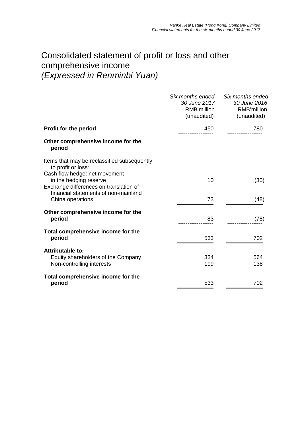### Consolidated statement of profit or loss and other comprehensive income *(Expressed in Renminbi Yuan)*

|                                                                                                                              | Six months ended<br><i>30 June 2017</i><br>RMB'million<br>(unaudited) | Six months ended<br>30 June 2016<br>RMB'million<br>(unaudited) |
|------------------------------------------------------------------------------------------------------------------------------|-----------------------------------------------------------------------|----------------------------------------------------------------|
| <b>Profit for the period</b>                                                                                                 | 450                                                                   | 780                                                            |
| Other comprehensive income for the<br>period                                                                                 |                                                                       |                                                                |
| Items that may be reclassified subsequently<br>to profit or loss:<br>Cash flow hedge: net movement<br>in the hedging reserve | 10                                                                    | (30)                                                           |
| Exchange differences on translation of<br>financial statements of non-mainland<br>China operations                           | 73                                                                    | (48)                                                           |
| Other comprehensive income for the<br>period                                                                                 | 83                                                                    | (78)                                                           |
| Total comprehensive income for the<br>period                                                                                 | 533                                                                   | 702                                                            |
| Attributable to:<br>Equity shareholders of the Company<br>Non-controlling interests                                          | 334<br>199                                                            | 564<br>138                                                     |
| Total comprehensive income for the<br>period                                                                                 | 533                                                                   | 702                                                            |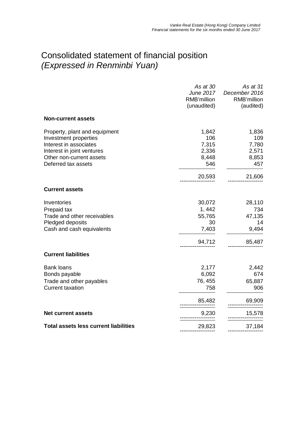## Consolidated statement of financial position *(Expressed in Renminbi Yuan)*

|                                                                                                                                                                   | As at 30<br>June 2017<br>RMB'million<br>(unaudited) | As at 31<br>December 2016<br>RMB'million<br>(audited) |
|-------------------------------------------------------------------------------------------------------------------------------------------------------------------|-----------------------------------------------------|-------------------------------------------------------|
| <b>Non-current assets</b>                                                                                                                                         |                                                     |                                                       |
| Property, plant and equipment<br>Investment properties<br>Interest in associates<br>Interest in joint ventures<br>Other non-current assets<br>Deferred tax assets | 1,842<br>106<br>7,315<br>2,336<br>8,448<br>546      | 1,836<br>109<br>7,780<br>2,571<br>8,853<br>457        |
|                                                                                                                                                                   | 20,593                                              | 21,606                                                |
| <b>Current assets</b>                                                                                                                                             |                                                     |                                                       |
| Inventories                                                                                                                                                       | 30,072                                              | 28,110                                                |
| Prepaid tax                                                                                                                                                       | 1,442                                               | 734                                                   |
| Trade and other receivables                                                                                                                                       | 55,765                                              | 47,135                                                |
| Pledged deposits                                                                                                                                                  | 30                                                  | 14                                                    |
| Cash and cash equivalents                                                                                                                                         | 7,403                                               | 9,494                                                 |
|                                                                                                                                                                   | 94,712                                              | 85,487                                                |
| <b>Current liabilities</b>                                                                                                                                        |                                                     |                                                       |
| <b>Bank loans</b>                                                                                                                                                 | 2,177                                               | 2,442                                                 |
| Bonds payable                                                                                                                                                     | 6,092                                               | 674                                                   |
| Trade and other payables                                                                                                                                          | 76, 455                                             | 65,887                                                |
| <b>Current taxation</b>                                                                                                                                           | 758                                                 | 906                                                   |
|                                                                                                                                                                   | 85,482                                              | 69,909                                                |
| <b>Net current assets</b>                                                                                                                                         | 9,230                                               | 15,578                                                |
| <b>Total assets less current liabilities</b>                                                                                                                      | 29,823                                              | 37,184                                                |